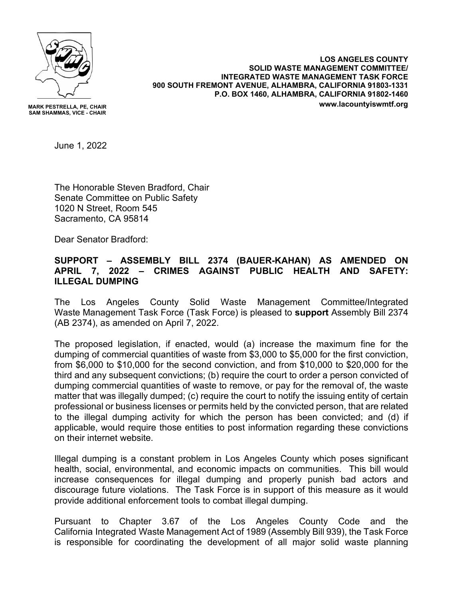

**MARK PESTRELLA, PE, CHAIR SAM SHAMMAS, VICE - CHAIR**

**LOS ANGELES COUNTY SOLID WASTE MANAGEMENT COMMITTEE/ INTEGRATED WASTE MANAGEMENT TASK FORCE 900 SOUTH FREMONT AVENUE, ALHAMBRA, CALIFORNIA 91803-1331 P.O. BOX 1460, ALHAMBRA, CALIFORNIA 91802-1460 www.lacountyiswmtf.org**

June 1, 2022

The Honorable Steven Bradford, Chair Senate Committee on Public Safety 1020 N Street, Room 545 Sacramento, CA 95814

Dear Senator Bradford:

## **SUPPORT – ASSEMBLY BILL 2374 (BAUER-KAHAN) AS AMENDED ON APRIL 7, 2022 – CRIMES AGAINST PUBLIC HEALTH AND SAFETY: ILLEGAL DUMPING**

The Los Angeles County Solid Waste Management Committee/Integrated Waste Management Task Force (Task Force) is pleased to **support** Assembly Bill 2374 (AB 2374), as amended on April 7, 2022.

The proposed legislation, if enacted, would (a) increase the maximum fine for the dumping of commercial quantities of waste from \$3,000 to \$5,000 for the first conviction, from \$6,000 to \$10,000 for the second conviction, and from \$10,000 to \$20,000 for the third and any subsequent convictions; (b) require the court to order a person convicted of dumping commercial quantities of waste to remove, or pay for the removal of, the waste matter that was illegally dumped; (c) require the court to notify the issuing entity of certain professional or business licenses or permits held by the convicted person, that are related to the illegal dumping activity for which the person has been convicted; and (d) if applicable, would require those entities to post information regarding these convictions on their internet website.

Illegal dumping is a constant problem in Los Angeles County which poses significant health, social, environmental, and economic impacts on communities. This bill would increase consequences for illegal dumping and properly punish bad actors and discourage future violations. The Task Force is in support of this measure as it would provide additional enforcement tools to combat illegal dumping.

Pursuant to Chapter 3.67 of the Los Angeles County Code and the California Integrated Waste Management Act of 1989 (Assembly Bill 939), the Task Force is responsible for coordinating the development of all major solid waste planning